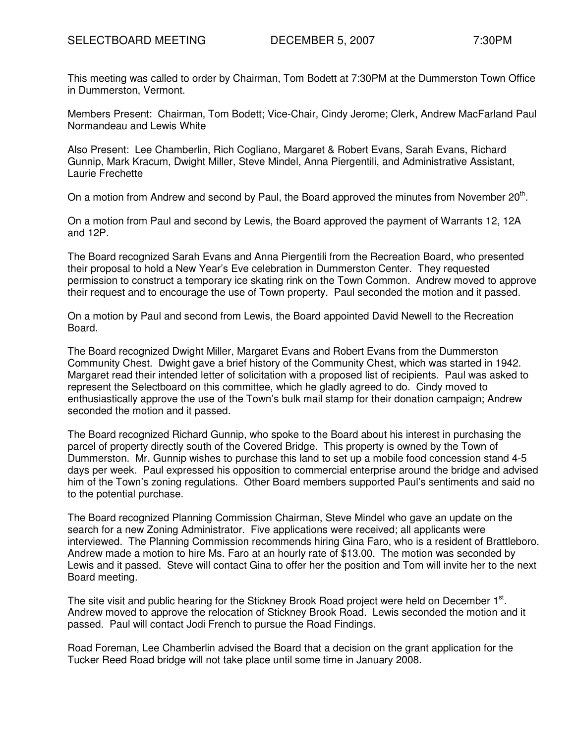This meeting was called to order by Chairman, Tom Bodett at 7:30PM at the Dummerston Town Office in Dummerston, Vermont.

Members Present: Chairman, Tom Bodett; Vice-Chair, Cindy Jerome; Clerk, Andrew MacFarland Paul Normandeau and Lewis White

Also Present: Lee Chamberlin, Rich Cogliano, Margaret & Robert Evans, Sarah Evans, Richard Gunnip, Mark Kracum, Dwight Miller, Steve Mindel, Anna Piergentili, and Administrative Assistant, Laurie Frechette

On a motion from Andrew and second by Paul, the Board approved the minutes from November 20<sup>th</sup>.

On a motion from Paul and second by Lewis, the Board approved the payment of Warrants 12, 12A and 12P.

The Board recognized Sarah Evans and Anna Piergentili from the Recreation Board, who presented their proposal to hold a New Year's Eve celebration in Dummerston Center. They requested permission to construct a temporary ice skating rink on the Town Common. Andrew moved to approve their request and to encourage the use of Town property. Paul seconded the motion and it passed.

On a motion by Paul and second from Lewis, the Board appointed David Newell to the Recreation Board.

The Board recognized Dwight Miller, Margaret Evans and Robert Evans from the Dummerston Community Chest. Dwight gave a brief history of the Community Chest, which was started in 1942. Margaret read their intended letter of solicitation with a proposed list of recipients. Paul was asked to represent the Selectboard on this committee, which he gladly agreed to do. Cindy moved to enthusiastically approve the use of the Town's bulk mail stamp for their donation campaign; Andrew seconded the motion and it passed.

The Board recognized Richard Gunnip, who spoke to the Board about his interest in purchasing the parcel of property directly south of the Covered Bridge. This property is owned by the Town of Dummerston. Mr. Gunnip wishes to purchase this land to set up a mobile food concession stand 4-5 days per week. Paul expressed his opposition to commercial enterprise around the bridge and advised him of the Town's zoning regulations. Other Board members supported Paul's sentiments and said no to the potential purchase.

The Board recognized Planning Commission Chairman, Steve Mindel who gave an update on the search for a new Zoning Administrator. Five applications were received; all applicants were interviewed. The Planning Commission recommends hiring Gina Faro, who is a resident of Brattleboro. Andrew made a motion to hire Ms. Faro at an hourly rate of \$13.00. The motion was seconded by Lewis and it passed. Steve will contact Gina to offer her the position and Tom will invite her to the next Board meeting.

The site visit and public hearing for the Stickney Brook Road project were held on December 1<sup>st</sup>. Andrew moved to approve the relocation of Stickney Brook Road. Lewis seconded the motion and it passed. Paul will contact Jodi French to pursue the Road Findings.

Road Foreman, Lee Chamberlin advised the Board that a decision on the grant application for the Tucker Reed Road bridge will not take place until some time in January 2008.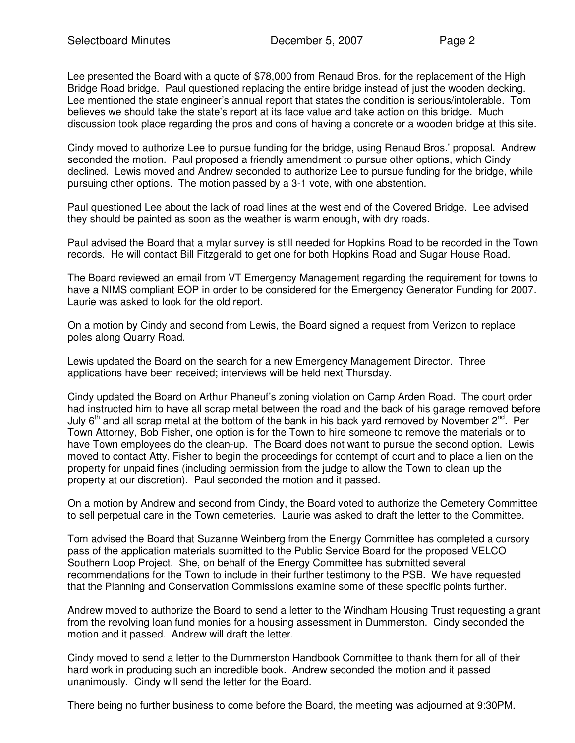Lee presented the Board with a quote of \$78,000 from Renaud Bros. for the replacement of the High Bridge Road bridge. Paul questioned replacing the entire bridge instead of just the wooden decking. Lee mentioned the state engineer's annual report that states the condition is serious/intolerable. Tom believes we should take the state's report at its face value and take action on this bridge. Much discussion took place regarding the pros and cons of having a concrete or a wooden bridge at this site.

Cindy moved to authorize Lee to pursue funding for the bridge, using Renaud Bros.' proposal. Andrew seconded the motion. Paul proposed a friendly amendment to pursue other options, which Cindy declined. Lewis moved and Andrew seconded to authorize Lee to pursue funding for the bridge, while pursuing other options.The motion passed by a 3-1 vote, with one abstention.

Paul questioned Lee about the lack of road lines at the west end of the Covered Bridge. Lee advised they should be painted as soon as the weather is warm enough, with dry roads.

Paul advised the Board that a mylar survey is still needed for Hopkins Road to be recorded in the Town records. He will contact Bill Fitzgerald to get one for both Hopkins Road and Sugar House Road.

The Board reviewed an email from VT Emergency Management regarding the requirement for towns to have a NIMS compliant EOP in order to be considered for the Emergency Generator Funding for 2007. Laurie was asked to look for the old report.

On a motion by Cindy and second from Lewis, the Board signed a request from Verizon to replace poles along Quarry Road.

Lewis updated the Board on the search for a new Emergency Management Director. Three applications have been received; interviews will be held next Thursday.

Cindy updated the Board on Arthur Phaneuf's zoning violation on Camp Arden Road. The court order had instructed him to have all scrap metal between the road and the back of his garage removed before July 6<sup>th</sup> and all scrap metal at the bottom of the bank in his back vard removed by November 2<sup>nd</sup>. Per Town Attorney, Bob Fisher, one option is for the Town to hire someone to remove the materials or to have Town employees do the clean-up. The Board does not want to pursue the second option. Lewis moved to contact Atty. Fisher to begin the proceedings for contempt of court and to place a lien on the property for unpaid fines (including permission from the judge to allow the Town to clean up the property at our discretion). Paul seconded the motion and it passed.

On a motion by Andrew and second from Cindy, the Board voted to authorize the Cemetery Committee to sell perpetual care in the Town cemeteries. Laurie was asked to draft the letter to the Committee.

Tom advised the Board that Suzanne Weinberg from the Energy Committee has completed a cursory pass of the application materials submitted to the Public Service Board for the proposed VELCO Southern Loop Project. She, on behalf of the Energy Committee has submitted several recommendations for the Town to include in their further testimony to the PSB. We have requested that the Planning and Conservation Commissions examine some of these specific points further.

Andrew moved to authorize the Board to send a letter to the Windham Housing Trust requesting a grant from the revolving loan fund monies for a housing assessment in Dummerston. Cindy seconded the motion and it passed. Andrew will draft the letter.

Cindy moved to send a letter to the Dummerston Handbook Committee to thank them for all of their hard work in producing such an incredible book. Andrew seconded the motion and it passed unanimously. Cindy will send the letter for the Board.

There being no further business to come before the Board, the meeting was adjourned at 9:30PM.